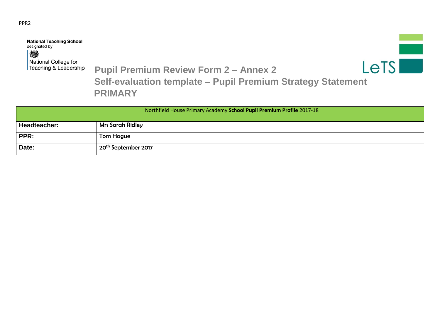## PPR2

**National Teaching School** designated by 戀 National College for

 $LETS$ 

 **Teaching & Leadership** Pupil Premium Review Form 2 - Annex 2

 **Self-evaluation template – Pupil Premium Strategy Statement PRIMARY**

|              | Northfield House Primary Academy School Pupil Premium Profile 2017-18 |
|--------------|-----------------------------------------------------------------------|
| Headteacher: | <b>Mrs Sarah Ridley</b>                                               |
| PPR:         | Tom Hague                                                             |
| Date:        | 20 <sup>th</sup> September 2017                                       |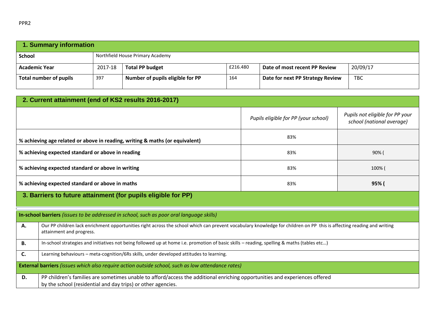| 1. Summary information |         |                                  |          |                                  |            |
|------------------------|---------|----------------------------------|----------|----------------------------------|------------|
| <b>School</b>          |         | Northfield House Primary Academy |          |                                  |            |
| <b>Academic Year</b>   | 2017-18 | <b>Total PP budget</b>           | £216.480 | Date of most recent PP Review    | 20/09/17   |
| Total number of pupils | 397     | Number of pupils eligible for PP | 164      | Date for next PP Strategy Review | <b>TBC</b> |

|                                                   | 2. Current attainment (end of KS2 results 2016-2017)                                                                                                                                              |                                      |                                                              |  |  |  |
|---------------------------------------------------|---------------------------------------------------------------------------------------------------------------------------------------------------------------------------------------------------|--------------------------------------|--------------------------------------------------------------|--|--|--|
|                                                   |                                                                                                                                                                                                   | Pupils eligible for PP (your school) | Pupils not eligible for PP your<br>school (national average) |  |  |  |
|                                                   | % achieving age related or above in reading, writing & maths (or equivalent)                                                                                                                      | 83%                                  |                                                              |  |  |  |
| % achieving expected standard or above in reading |                                                                                                                                                                                                   | 83%                                  | 90% (                                                        |  |  |  |
| % achieving expected standard or above in writing |                                                                                                                                                                                                   | 83%                                  | 100% (                                                       |  |  |  |
|                                                   | % achieving expected standard or above in maths<br>95% (<br>83%                                                                                                                                   |                                      |                                                              |  |  |  |
|                                                   | 3. Barriers to future attainment (for pupils eligible for PP)                                                                                                                                     |                                      |                                                              |  |  |  |
|                                                   | In-school barriers (issues to be addressed in school, such as poor oral language skills)                                                                                                          |                                      |                                                              |  |  |  |
| А.                                                | Our PP children lack enrichment opportunities right across the school which can prevent vocabulary knowledge for children on PP this is affecting reading and writing<br>attainment and progress. |                                      |                                                              |  |  |  |
| В.                                                | In-school strategies and initiatives not being followed up at home i.e. promotion of basic skills - reading, spelling & maths (tables etc)                                                        |                                      |                                                              |  |  |  |
| C.                                                | Learning behaviours - meta-cognition/6Rs skills, under developed attitudes to learning.                                                                                                           |                                      |                                                              |  |  |  |
|                                                   | <b>External barriers</b> (issues which also require action outside school, such as low attendance rates)                                                                                          |                                      |                                                              |  |  |  |
| D.                                                | PP children's families are sometimes unable to afford/access the additional enriching opportunities and experiences offered<br>by the school (residential and day trips) or other agencies.       |                                      |                                                              |  |  |  |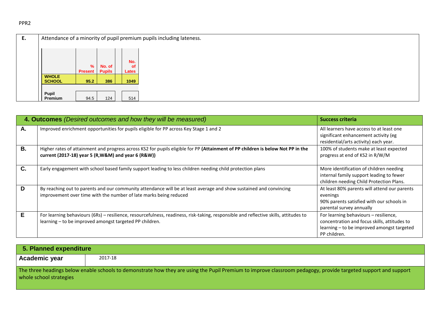| Е. | Attendance of a minority of pupil premium pupils including lateness. |                |               |                  |  |
|----|----------------------------------------------------------------------|----------------|---------------|------------------|--|
|    |                                                                      |                |               |                  |  |
|    |                                                                      | %              | No. of        | No.<br><b>of</b> |  |
|    |                                                                      | <b>Present</b> | <b>Pupils</b> | Lates            |  |
|    | <b>WHOLE</b>                                                         |                |               |                  |  |
|    | <b>SCHOOL</b>                                                        | 95.2           | 386           | 1049             |  |
|    |                                                                      |                |               |                  |  |
|    | Pupil                                                                |                |               |                  |  |
|    | Premium                                                              | 94.5           | 124           | 514              |  |

|           | 4. Outcomes (Desired outcomes and how they will be measured)                                                                                                                                    | <b>Success criteria</b>                                                                                                                             |
|-----------|-------------------------------------------------------------------------------------------------------------------------------------------------------------------------------------------------|-----------------------------------------------------------------------------------------------------------------------------------------------------|
| Α.        | Improved enrichment opportunities for pupils eligible for PP across Key Stage 1 and 2                                                                                                           | All learners have access to at least one<br>significant enhancement activity (eg<br>residential/arts activity) each year.                           |
| <b>B.</b> | Higher rates of attainment and progress across KS2 for pupils eligible for PP (Attainment of PP children is below Not PP in the<br>current (2017-18) year 5 (R, W&M) and year 6 (R&W))          | 100% of students make at least expected<br>progress at end of KS2 in R/W/M                                                                          |
| C.        | Early engagement with school based family support leading to less children needing child protection plans                                                                                       | More identification of children needing<br>internal family support leading to fewer<br>children needing Child Protection Plans.                     |
| D         | By reaching out to parents and our community attendance will be at least average and show sustained and convincing<br>improvement over time with the number of late marks being reduced         | At least 80% parents will attend our parents<br>evenings<br>90% parents satisfied with our schools in<br>parental survey annually                   |
| Е         | For learning behaviours (6Rs) - resilience, resourcefulness, readiness, risk-taking, responsible and reflective skills, attitudes to<br>learning - to be improved amongst targeted PP children. | For learning behaviours - resilience,<br>concentration and focus skills, attitudes to<br>learning – to be improved amongst targeted<br>PP children. |

| 5. Planned expenditure  |                                                                                                                                                                 |
|-------------------------|-----------------------------------------------------------------------------------------------------------------------------------------------------------------|
| Academic year           | 2017-18                                                                                                                                                         |
| whole school strategies | The three headings below enable schools to demonstrate how they are using the Pupil Premium to improve classroom pedagogy, provide targeted support and support |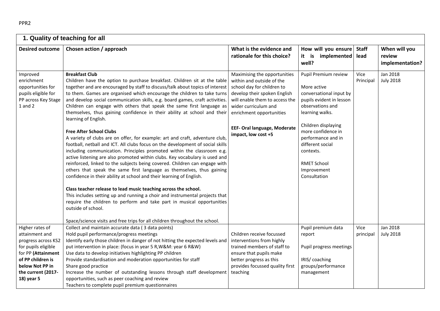| 1. Quality of teaching for all                                                                           |                                                                                                                                                                                                                                                                                                                                                                                                                                                                                                                                                                                                                                                                                                                                                                                                                                                                                                                                                                                                                                                                                                                                                                                                                                                                                                                                                                                                                                                          |                                                                                                                                                                                                                                                                             |                                                                                                                                                                                                                                                                                            |                      |                                            |
|----------------------------------------------------------------------------------------------------------|----------------------------------------------------------------------------------------------------------------------------------------------------------------------------------------------------------------------------------------------------------------------------------------------------------------------------------------------------------------------------------------------------------------------------------------------------------------------------------------------------------------------------------------------------------------------------------------------------------------------------------------------------------------------------------------------------------------------------------------------------------------------------------------------------------------------------------------------------------------------------------------------------------------------------------------------------------------------------------------------------------------------------------------------------------------------------------------------------------------------------------------------------------------------------------------------------------------------------------------------------------------------------------------------------------------------------------------------------------------------------------------------------------------------------------------------------------|-----------------------------------------------------------------------------------------------------------------------------------------------------------------------------------------------------------------------------------------------------------------------------|--------------------------------------------------------------------------------------------------------------------------------------------------------------------------------------------------------------------------------------------------------------------------------------------|----------------------|--------------------------------------------|
| <b>Desired outcome</b>                                                                                   | Chosen action / approach                                                                                                                                                                                                                                                                                                                                                                                                                                                                                                                                                                                                                                                                                                                                                                                                                                                                                                                                                                                                                                                                                                                                                                                                                                                                                                                                                                                                                                 | What is the evidence and<br>rationale for this choice?                                                                                                                                                                                                                      | How will you ensure<br>it is implemented<br>well?                                                                                                                                                                                                                                          | <b>Staff</b><br>lead | When will you<br>review<br>implementation? |
| Improved<br>enrichment<br>opportunities for<br>pupils eligible for<br>PP across Key Stage<br>$1$ and $2$ | <b>Breakfast Club</b><br>Children have the option to purchase breakfast. Children sit at the table<br>together and are encouraged by staff to discuss/talk about topics of interest<br>to them. Games are organised which encourage the children to take turns<br>and develop social communication skills, e.g. board games, craft activities.<br>Children can engage with others that speak the same first language as<br>themselves, thus gaining confidence in their ability at school and their<br>learning of English.<br><b>Free After School Clubs</b><br>A variety of clubs are on offer, for example: art and craft, adventure club,<br>football, netball and ICT. All clubs focus on the development of social skills<br>including communication. Principles promoted within the classroom e.g.<br>active listening are also promoted within clubs. Key vocabulary is used and<br>reinforced, linked to the subjects being covered. Children can engage with<br>others that speak the same first language as themselves, thus gaining<br>confidence in their ability at school and their learning of English.<br>Class teacher release to lead music teaching across the school.<br>This includes setting up and running a choir and instrumental projects that<br>require the children to perform and take part in musical opportunities<br>outside of school.<br>Space/science visits and free trips for all children throughout the school. | Maximising the opportunities<br>within and outside of the<br>school day for children to<br>develop their spoken English<br>will enable them to access the<br>wider curriculum and<br>enrichment opportunities<br><b>EEF- Oral language, Moderate</b><br>impact, low cost +5 | Pupil Premium review<br>More active<br>conversational input by<br>pupils evident in lesson<br>observations and<br>learning walks.<br>Children displaying<br>more confidence in<br>performance and in<br>different social<br>contexts.<br><b>RMET School</b><br>Improvement<br>Consultation | Vice<br>Principal    | Jan 2018<br><b>July 2018</b>               |
| Higher rates of<br>attainment and                                                                        | Collect and maintain accurate data (3 data points)<br>Hold pupil performance/progress meetings                                                                                                                                                                                                                                                                                                                                                                                                                                                                                                                                                                                                                                                                                                                                                                                                                                                                                                                                                                                                                                                                                                                                                                                                                                                                                                                                                           | Children receive focussed                                                                                                                                                                                                                                                   | Pupil premium data<br>report                                                                                                                                                                                                                                                               | Vice<br>principal    | Jan 2018<br><b>July 2018</b>               |
| progress across KS2                                                                                      | Identify early those children in danger of not hitting the expected levels and                                                                                                                                                                                                                                                                                                                                                                                                                                                                                                                                                                                                                                                                                                                                                                                                                                                                                                                                                                                                                                                                                                                                                                                                                                                                                                                                                                           | interventions from highly                                                                                                                                                                                                                                                   |                                                                                                                                                                                                                                                                                            |                      |                                            |
| for pupils eligible                                                                                      | put intervention in place: (focus in year 5 R, W&M: year 6 R&W)                                                                                                                                                                                                                                                                                                                                                                                                                                                                                                                                                                                                                                                                                                                                                                                                                                                                                                                                                                                                                                                                                                                                                                                                                                                                                                                                                                                          | trained members of staff to                                                                                                                                                                                                                                                 | Pupil progress meetings                                                                                                                                                                                                                                                                    |                      |                                            |
| for PP (Attainment<br>of PP children is                                                                  | Use data to develop initiatives highlighting PP children<br>Provide standardisation and moderation opportunities for staff                                                                                                                                                                                                                                                                                                                                                                                                                                                                                                                                                                                                                                                                                                                                                                                                                                                                                                                                                                                                                                                                                                                                                                                                                                                                                                                               | ensure that pupils make<br>better progress as this                                                                                                                                                                                                                          | IRIS/coaching                                                                                                                                                                                                                                                                              |                      |                                            |
| below Not PP in                                                                                          | Share good practice                                                                                                                                                                                                                                                                                                                                                                                                                                                                                                                                                                                                                                                                                                                                                                                                                                                                                                                                                                                                                                                                                                                                                                                                                                                                                                                                                                                                                                      | provides focussed quality first                                                                                                                                                                                                                                             | groups/performance                                                                                                                                                                                                                                                                         |                      |                                            |
| the current (2017-                                                                                       | Increase the number of outstanding lessons through staff development                                                                                                                                                                                                                                                                                                                                                                                                                                                                                                                                                                                                                                                                                                                                                                                                                                                                                                                                                                                                                                                                                                                                                                                                                                                                                                                                                                                     | teaching                                                                                                                                                                                                                                                                    | management                                                                                                                                                                                                                                                                                 |                      |                                            |
| 18) year 5                                                                                               | opportunities, such as peer coaching and review                                                                                                                                                                                                                                                                                                                                                                                                                                                                                                                                                                                                                                                                                                                                                                                                                                                                                                                                                                                                                                                                                                                                                                                                                                                                                                                                                                                                          |                                                                                                                                                                                                                                                                             |                                                                                                                                                                                                                                                                                            |                      |                                            |
|                                                                                                          | Teachers to complete pupil premium questionnaires                                                                                                                                                                                                                                                                                                                                                                                                                                                                                                                                                                                                                                                                                                                                                                                                                                                                                                                                                                                                                                                                                                                                                                                                                                                                                                                                                                                                        |                                                                                                                                                                                                                                                                             |                                                                                                                                                                                                                                                                                            |                      |                                            |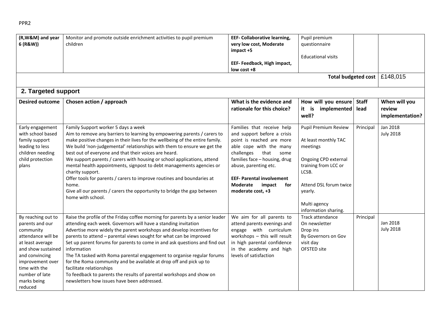| (R, W&M) and year<br>6 (R&W))                                                                                                                                                                                         | Monitor and promote outside enrichment activities to pupil premium<br>children                                                                                                                                                                                                                                                                                                                                                                                                                                                                                                                                                                                                                 | EEF- Collaborative learning,<br>very low cost, Moderate<br>impact +5                                                                                                                                                                                                                                   | Pupil premium<br>questionnaire                                                                                                                                                                              |                                            |
|-----------------------------------------------------------------------------------------------------------------------------------------------------------------------------------------------------------------------|------------------------------------------------------------------------------------------------------------------------------------------------------------------------------------------------------------------------------------------------------------------------------------------------------------------------------------------------------------------------------------------------------------------------------------------------------------------------------------------------------------------------------------------------------------------------------------------------------------------------------------------------------------------------------------------------|--------------------------------------------------------------------------------------------------------------------------------------------------------------------------------------------------------------------------------------------------------------------------------------------------------|-------------------------------------------------------------------------------------------------------------------------------------------------------------------------------------------------------------|--------------------------------------------|
|                                                                                                                                                                                                                       |                                                                                                                                                                                                                                                                                                                                                                                                                                                                                                                                                                                                                                                                                                | EEF- Feedback, High impact,<br>low cost +8                                                                                                                                                                                                                                                             | <b>Educational visits</b>                                                                                                                                                                                   |                                            |
|                                                                                                                                                                                                                       |                                                                                                                                                                                                                                                                                                                                                                                                                                                                                                                                                                                                                                                                                                |                                                                                                                                                                                                                                                                                                        | Total budgeted cost                                                                                                                                                                                         | £148,015                                   |
| 2. Targeted support                                                                                                                                                                                                   |                                                                                                                                                                                                                                                                                                                                                                                                                                                                                                                                                                                                                                                                                                |                                                                                                                                                                                                                                                                                                        |                                                                                                                                                                                                             |                                            |
| <b>Desired outcome</b>                                                                                                                                                                                                | Chosen action / approach                                                                                                                                                                                                                                                                                                                                                                                                                                                                                                                                                                                                                                                                       | What is the evidence and<br>rationale for this choice?                                                                                                                                                                                                                                                 | How will you ensure<br><b>Staff</b><br>it is implemented<br>lead<br>well?                                                                                                                                   | When will you<br>review<br>implementation? |
| Early engagement<br>with school based<br>family support<br>leading to less<br>children needing<br>child protection<br>plans                                                                                           | Family Support worker 5 days a week<br>Aim to remove any barriers to learning by empowering parents / carers to<br>make positive changes in their lives for the wellbeing of the entire family.<br>We build 'non-judgemental' relationships with them to ensure we get the<br>best out of everyone and that their voices are heard.<br>We support parents / carers with housing or school applications, attend<br>mental health appointments, signpost to debt managements agencies or<br>charity support.<br>Offer tools for parents / carers to improve routines and boundaries at<br>home.<br>Give all our parents / carers the opportunity to bridge the gap between<br>home with school.  | Families that receive help<br>and support before a crisis<br>point is reached are more<br>able cope with the many<br>challenges<br>that<br>some<br>families face - housing, drug<br>abuse, parenting etc.<br><b>EEF- Parental involvement</b><br><b>Moderate</b><br>impact<br>for<br>moderate cost, +3 | Pupil Premium Review<br>Principal<br>At least monthly TAC<br>meetings<br>Ongoing CPD external<br>training from LCC or<br>LCSB.<br>Attend DSL forum twice<br>yearly.<br>Multi agency<br>information sharing. | Jan 2018<br><b>July 2018</b>               |
| By reaching out to<br>parents and our<br>community<br>attendance will be<br>at least average<br>and show sustained<br>and convincing<br>improvement over<br>time with the<br>number of late<br>marks being<br>reduced | Raise the profile of the Friday coffee morning for parents by a senior leader<br>attending each week. Governors will have a standing invitation<br>Advertise more widely the parent workshops and develop incentives for<br>parents to attend - parental views sought for what can be improved<br>Set up parent forums for parents to come in and ask questions and find out<br>information<br>The TA tasked with Roma parental engagement to organise regular forums<br>for the Roma community and be available at drop off and pick up to<br>facilitate relationships<br>To feedback to parents the results of parental workshops and show on<br>newsletters how issues have been addressed. | We aim for all parents to<br>attend parents evenings and<br>engage with curriculum<br>workshops - this will result<br>in high parental confidence<br>in the academy and high<br>levels of satisfaction                                                                                                 | Track attendance<br>Principal<br>On newsletter<br>Drop ins<br>By Governors on Gov<br>visit day<br>OFSTED site                                                                                               | Jan 2018<br><b>July 2018</b>               |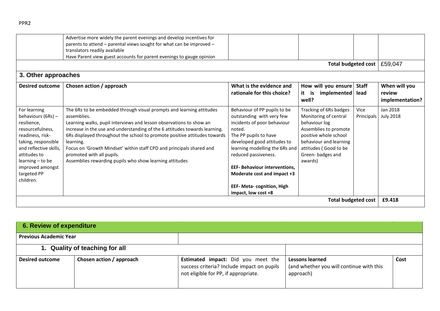| What is the evidence and                                                                                                                                                                                                                                                                                                                         |                                                                                                                                                                                                      |                      |                                            |
|--------------------------------------------------------------------------------------------------------------------------------------------------------------------------------------------------------------------------------------------------------------------------------------------------------------------------------------------------|------------------------------------------------------------------------------------------------------------------------------------------------------------------------------------------------------|----------------------|--------------------------------------------|
| rationale for this choice?                                                                                                                                                                                                                                                                                                                       | How will you ensure<br>implemented<br>it<br>is<br>well?                                                                                                                                              | <b>Staff</b><br>lead | When will you<br>review<br>implementation? |
| Behaviour of PP pupils to be<br>outstanding with very few<br>incidents of poor behaviour<br>noted.<br>The PP pupils to have<br>developed good attitudes to<br>learning modelling the 6Rs and<br>reduced passiveness.<br><b>EEF- Behaviour interventions.</b><br>Moderate cost and impact +3<br>EEF- Meta- cognition, High<br>impact, low cost +8 | Tracking of 6Rs badges<br>Monitoring of central<br>behaviour log<br>Assemblies to promote<br>positive whole school<br>behaviour and learning<br>attitudes (Good to be<br>Green-badges and<br>awards) | Vice<br>Principals   | Jan 2018<br><b>July 2018</b>               |
|                                                                                                                                                                                                                                                                                                                                                  |                                                                                                                                                                                                      |                      | <b>Total budgeted cost</b>                 |

| 6. Review of expenditure       |                          |                                                                                                                                 |                                                                          |      |
|--------------------------------|--------------------------|---------------------------------------------------------------------------------------------------------------------------------|--------------------------------------------------------------------------|------|
| <b>Previous Academic Year</b>  |                          |                                                                                                                                 |                                                                          |      |
| 1. Quality of teaching for all |                          |                                                                                                                                 |                                                                          |      |
| <b>Desired outcome</b>         | Chosen action / approach | <b>Estimated impact:</b> Did you meet the<br>success criteria? Include impact on pupils<br>not eligible for PP, if appropriate. | Lessons learned<br>(and whether you will continue with this<br>approach) | Cost |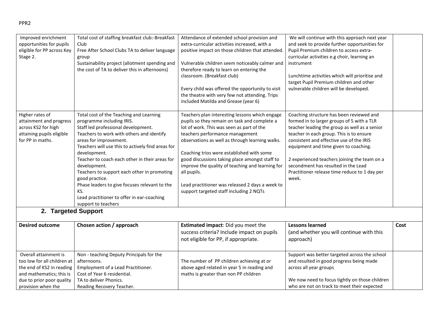| Improved enrichment<br>opportunities for pupils<br>eligible for PP across Key<br>Stage 2.                                                                        | Total cost of staffing breakfast club:-Breakfast<br>Club<br>Free After School Clubs TA to deliver language<br>group<br>Sustainability project (allotment spending and<br>the cost of TA to deliver this in afternoons)                                                                                                                                                                                                                                                                                                  | Attendance of extended school provision and<br>extra-curricular activities increased, with a<br>positive impact on those children that attended.<br>Vulnerable children seem noticeably calmer and<br>therefore ready to learn on entering the<br>classroom. (Breakfast club)<br>Every child was offered the opportunity to visit<br>the theatre with very few not attending. Trips<br>included Matilda and Grease (year 6)                                                                       | We will continue with this approach next year<br>and seek to provide further opportunities for<br>Pupil Premium children to access extra-<br>curricular activities e.g choir, learning an<br>instrument<br>Lunchtime activities which will prioritise and<br>target Pupil Premium children and other<br>vulnerable children will be developed.                                                                            |      |
|------------------------------------------------------------------------------------------------------------------------------------------------------------------|-------------------------------------------------------------------------------------------------------------------------------------------------------------------------------------------------------------------------------------------------------------------------------------------------------------------------------------------------------------------------------------------------------------------------------------------------------------------------------------------------------------------------|---------------------------------------------------------------------------------------------------------------------------------------------------------------------------------------------------------------------------------------------------------------------------------------------------------------------------------------------------------------------------------------------------------------------------------------------------------------------------------------------------|---------------------------------------------------------------------------------------------------------------------------------------------------------------------------------------------------------------------------------------------------------------------------------------------------------------------------------------------------------------------------------------------------------------------------|------|
| Higher rates of<br>attainment and progress<br>across KS2 for high<br>attaining pupils eligible<br>for PP in maths.                                               | Total cost of the Teaching and Learning<br>programme including IRIS.<br>Staff led professional development.<br>Teachers to work with others and identify<br>areas for improvement.<br>Teachers will use this to actively find areas for<br>development.<br>Teacher to coach each other in their areas for<br>development.<br>Teachers to support each other in promoting<br>good practice.<br>Phase leaders to give focuses relevant to the<br>KS.<br>Lead practitioner to offer in ear-coaching<br>support to teachers | Teachers plan interesting lessons which engage<br>pupils so they remain on task and complete a<br>lot of work. This was seen as part of the<br>teachers performance management<br>observations as well as through learning walks.<br>Coaching trios were established with some<br>good discussions taking place amongst staff to<br>improve the quality of teaching and learning for<br>all pupils.<br>Lead practitioner was released 2 days a week to<br>support targeted staff including 2 NQTs | Coaching structure has been reviewed and<br>formed in to larger groups of 5 with a TLR<br>teacher leading the group as well as a senior<br>teacher in each group. This is to ensure<br>consistent and effective use of the IRIS<br>equipment and time given to coaching.<br>2 experienced teachers joining the team on a<br>secondment has resulted in the Lead<br>Practitioner release time reduce to 1 day per<br>week. |      |
| 2. Targeted Support                                                                                                                                              |                                                                                                                                                                                                                                                                                                                                                                                                                                                                                                                         |                                                                                                                                                                                                                                                                                                                                                                                                                                                                                                   |                                                                                                                                                                                                                                                                                                                                                                                                                           |      |
| <b>Desired outcome</b>                                                                                                                                           | Chosen action / approach                                                                                                                                                                                                                                                                                                                                                                                                                                                                                                | Estimated impact: Did you meet the<br>success criteria? Include impact on pupils<br>not eligible for PP, if appropriate.                                                                                                                                                                                                                                                                                                                                                                          | <b>Lessons learned</b><br>(and whether you will continue with this<br>approach)                                                                                                                                                                                                                                                                                                                                           | Cost |
| Overall attainment is<br>too low for all children at<br>the end of KS2 in reading<br>and mathematics; this is<br>due to prior poor quality<br>provision when the | Non - teaching Deputy Principals for the<br>afternoons.<br>Employment of a Lead Practitioner.<br>Cost of Year 6 residential.<br>TA to deliver Phonics.<br>Reading Recovery Teacher.                                                                                                                                                                                                                                                                                                                                     | The number of PP children achieving at or<br>above aged related in year 5 in reading and<br>maths is greater than non PP children                                                                                                                                                                                                                                                                                                                                                                 | Support was better targeted across the school<br>and resulted in good progress being made<br>across all year groups<br>We now need to focus tightly on those children<br>who are not on track to meet their expected                                                                                                                                                                                                      |      |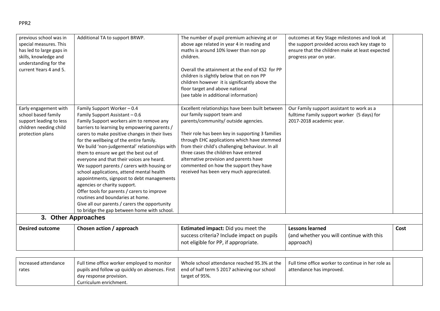| Excellent relationships have been built between<br>Early engagement with<br>Family Support Worker - 0.4<br>Our Family support assistant to work as a<br>our family support team and<br>school based family<br>fulltime Family support worker (5 days) for<br>Family Support Assistant - 0.6<br>parents/community/ outside agencies.<br>support leading to less<br>Family Support workers aim to remove any<br>2017-2018 academic year.<br>children needing child<br>barriers to learning by empowering parents /<br>carers to make positive changes in their lives<br>Their role has been key in supporting 3 families<br>protection plans<br>for the wellbeing of the entire family.<br>through EHC applications which have stemmed<br>from their child's challenging behaviour. In all<br>We build 'non-judgemental' relationships with<br>three cases the children have entered<br>them to ensure we get the best out of<br>everyone and that their voices are heard.<br>alternative provision and parents have<br>commented on how the support they have<br>We support parents / carers with housing or<br>received has been very much appreciated.<br>school applications, attend mental health<br>appointments, signpost to debt managements<br>agencies or charity support.<br>Offer tools for parents / carers to improve<br>routines and boundaries at home.<br>Give all our parents / carers the opportunity<br>to bridge the gap between home with school.<br>3. Other Approaches<br><b>Desired outcome</b><br>Chosen action / approach<br>Estimated impact: Did you meet the<br><b>Lessons learned</b><br>Cost<br>success criteria? Include impact on pupils<br>(and whether you will continue with this<br>not eligible for PP, if appropriate.<br>approach) | previous school was in<br>special measures. This<br>has led to large gaps in<br>skills, knowledge and<br>understanding for the<br>current Years 4 and 5. | Additional TA to support BRWP. | The number of pupil premium achieving at or<br>above age related in year 4 in reading and<br>maths is around 10% lower than non pp<br>children.<br>Overall the attainment at the end of KS2 for PP<br>children is slightly below that on non PP<br>children however it is significantly above the<br>floor target and above national<br>(see table in additional information) | outcomes at Key Stage milestones and look at<br>the support provided across each key stage to<br>ensure that the children make at least expected<br>progress year on year. |  |
|---------------------------------------------------------------------------------------------------------------------------------------------------------------------------------------------------------------------------------------------------------------------------------------------------------------------------------------------------------------------------------------------------------------------------------------------------------------------------------------------------------------------------------------------------------------------------------------------------------------------------------------------------------------------------------------------------------------------------------------------------------------------------------------------------------------------------------------------------------------------------------------------------------------------------------------------------------------------------------------------------------------------------------------------------------------------------------------------------------------------------------------------------------------------------------------------------------------------------------------------------------------------------------------------------------------------------------------------------------------------------------------------------------------------------------------------------------------------------------------------------------------------------------------------------------------------------------------------------------------------------------------------------------------------------------------------------------------------------------------------------------------------------|----------------------------------------------------------------------------------------------------------------------------------------------------------|--------------------------------|-------------------------------------------------------------------------------------------------------------------------------------------------------------------------------------------------------------------------------------------------------------------------------------------------------------------------------------------------------------------------------|----------------------------------------------------------------------------------------------------------------------------------------------------------------------------|--|
|                                                                                                                                                                                                                                                                                                                                                                                                                                                                                                                                                                                                                                                                                                                                                                                                                                                                                                                                                                                                                                                                                                                                                                                                                                                                                                                                                                                                                                                                                                                                                                                                                                                                                                                                                                           |                                                                                                                                                          |                                |                                                                                                                                                                                                                                                                                                                                                                               |                                                                                                                                                                            |  |
|                                                                                                                                                                                                                                                                                                                                                                                                                                                                                                                                                                                                                                                                                                                                                                                                                                                                                                                                                                                                                                                                                                                                                                                                                                                                                                                                                                                                                                                                                                                                                                                                                                                                                                                                                                           |                                                                                                                                                          |                                |                                                                                                                                                                                                                                                                                                                                                                               |                                                                                                                                                                            |  |
|                                                                                                                                                                                                                                                                                                                                                                                                                                                                                                                                                                                                                                                                                                                                                                                                                                                                                                                                                                                                                                                                                                                                                                                                                                                                                                                                                                                                                                                                                                                                                                                                                                                                                                                                                                           |                                                                                                                                                          |                                |                                                                                                                                                                                                                                                                                                                                                                               |                                                                                                                                                                            |  |

| Increased attendance | Full time office worker employed to monitor                 | Whole school attendance reached 95.3% at the | Full time office worker to continue in her role as I |  |
|----------------------|-------------------------------------------------------------|----------------------------------------------|------------------------------------------------------|--|
| rates                | pupils and follow up quickly on absences. First $\parallel$ | end of half term 5 2017 achieving our school | attendance has improved.                             |  |
|                      | day response provision.                                     | target of 95%.                               |                                                      |  |
|                      | Curriculum enrichment.                                      |                                              |                                                      |  |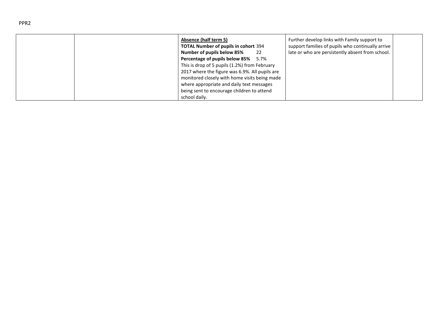| Absence (half term 5)<br><b>TOTAL Number of pupils in cohort 394</b><br>Number of pupils below 85%<br>-22 | Further develop links with Family support to<br>support families of pupils who continually arrive<br>late or who are persistently absent from school. |
|-----------------------------------------------------------------------------------------------------------|-------------------------------------------------------------------------------------------------------------------------------------------------------|
| Percentage of pupils below 85% 5.7%                                                                       |                                                                                                                                                       |
| This is drop of 5 pupils (1.2%) from February<br>2017 where the figure was 6.9%. All pupils are           |                                                                                                                                                       |
| monitored closely with home visits being made                                                             |                                                                                                                                                       |
| where appropriate and daily text messages                                                                 |                                                                                                                                                       |
| being sent to encourage children to attend                                                                |                                                                                                                                                       |
| school daily.                                                                                             |                                                                                                                                                       |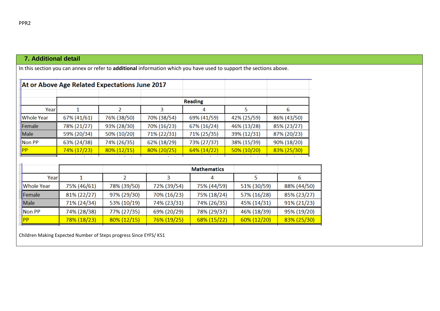## **7. Additional detail**

In this section you can annex or refer to **additional** information which you have used to support the sections above.

|                    |                            | At or Above Age Related Expectations June 2017 |             |                |             |             |
|--------------------|----------------------------|------------------------------------------------|-------------|----------------|-------------|-------------|
|                    |                            |                                                |             | <b>Reading</b> |             |             |
| Yearl              |                            |                                                |             |                |             | 6           |
| <b>Whole Year</b>  | 67% (41/61)                | 76% (38/50)                                    | 70% (38/54) | 69% (41/59)    | 42% (25/59) | 86% (43/50) |
| Female             | 78% (21/27)                | 93% (28/30)                                    | 70% (16/23) | 67% (16/24)    | 46% (13/28) | 85% (23/27) |
| Male               | 59% (20/34)                | 50% (10/20)                                    | 71% (22/31) | 71% (25/35)    | 39% (12/31) | 87% (20/23) |
| Non PP             | 74% (26/35)<br>63% (24/38) |                                                | 62% (18/29) | 73% (27/37)    | 38% (15/39) | 90% (18/20) |
| 74% (17/23)<br> PP |                            | 80% (12/15)                                    | 80% (20/25) | 64% (14/22)    | 50% (10/20) | 83% (25/30) |

|               |             |                | <b>Mathematics</b> |             |                |             |
|---------------|-------------|----------------|--------------------|-------------|----------------|-------------|
| Yearl         |             |                |                    |             |                | b           |
| Whole Year    | 75% (46/61) | 78% (39/50)    | 72% (39/54)        | 75% (44/59) | 51% (30/59)    | 88% (44/50) |
| <b>Female</b> | 81% (22/27) | 97% (29/30)    | 70% (16/23)        | 75% (18/24) | 57% (16/28)    | 85% (23/27) |
| Male          | 71% (24/34) | 53% (10/19)    | 74% (23/31)        | 74% (26/35) | 45% (14/31)    | 91% (21/23) |
| Non PP        | 74% (28/38) | 77% (27/35)    | 69% (20/29)        | 78% (29/37) | 46% (18/39)    | 95% (19/20) |
| <b>PP</b>     | 78% (18/23) | $80\% (12/15)$ | 76% (19/25)        | 68% (15/22) | $60\% (12/20)$ | 83% (25/30) |

Children Making Expected Number of Steps progress Since EYFS/ KS1